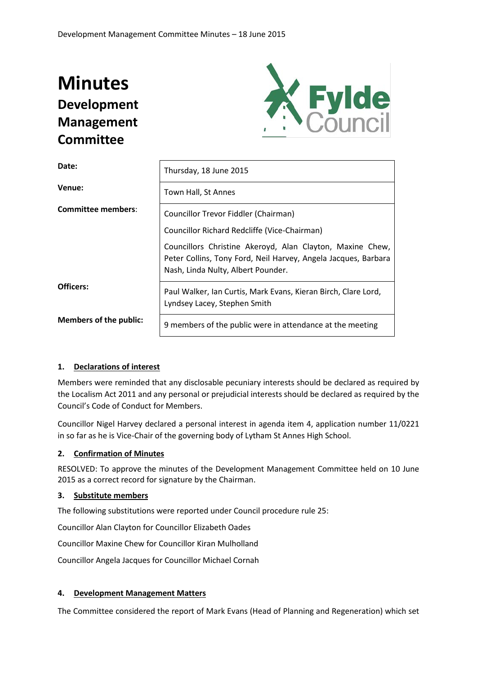# **Minutes Development Management Committee**



| Date:                         | Thursday, 18 June 2015                                                                                                                                            |  |  |
|-------------------------------|-------------------------------------------------------------------------------------------------------------------------------------------------------------------|--|--|
| Venue:                        | Town Hall, St Annes                                                                                                                                               |  |  |
| <b>Committee members:</b>     | Councillor Trevor Fiddler (Chairman)                                                                                                                              |  |  |
|                               | Councillor Richard Redcliffe (Vice-Chairman)                                                                                                                      |  |  |
|                               | Councillors Christine Akeroyd, Alan Clayton, Maxine Chew,<br>Peter Collins, Tony Ford, Neil Harvey, Angela Jacques, Barbara<br>Nash, Linda Nulty, Albert Pounder. |  |  |
| Officers:                     | Paul Walker, Ian Curtis, Mark Evans, Kieran Birch, Clare Lord,<br>Lyndsey Lacey, Stephen Smith                                                                    |  |  |
| <b>Members of the public:</b> | 9 members of the public were in attendance at the meeting                                                                                                         |  |  |

# **1. Declarations of interest**

Members were reminded that any disclosable pecuniary interests should be declared as required by the Localism Act 2011 and any personal or prejudicial interests should be declared as required by the Council's Code of Conduct for Members.

Councillor Nigel Harvey declared a personal interest in agenda item 4, application number 11/0221 in so far as he is Vice-Chair of the governing body of Lytham St Annes High School.

## **2. Confirmation of Minutes**

RESOLVED: To approve the minutes of the Development Management Committee held on 10 June 2015 as a correct record for signature by the Chairman.

## **3. Substitute members**

The following substitutions were reported under Council procedure rule 25:

Councillor Alan Clayton for Councillor Elizabeth Oades

Councillor Maxine Chew for Councillor Kiran Mulholland

Councillor Angela Jacques for Councillor Michael Cornah

## **4. Development Management Matters**

The Committee considered the report of Mark Evans (Head of Planning and Regeneration) which set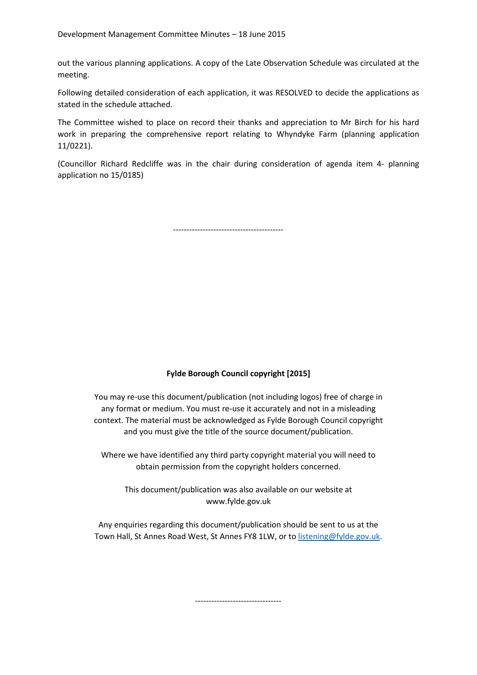out the various planning applications. A copy of the Late Observation Schedule was circulated at the meeting.

Following detailed consideration of each application, it was RESOLVED to decide the applications as stated in the schedule attached.

The Committee wished to place on record their thanks and appreciation to Mr Birch for his hard work in preparing the comprehensive report relating to Whyndyke Farm (planning application 11/0221).

(Councillor Richard Redcliffe was in the chair during consideration of agenda item 4- planning application no 15/0185)

-----------------------------------------

# **Fylde Borough Council copyright [2015]**

You may re-use this document/publication (not including logos) free of charge in any format or medium. You must re-use it accurately and not in a misleading context. The material must be acknowledged as Fylde Borough Council copyright and you must give the title of the source document/publication.

Where we have identified any third party copyright material you will need to obtain permission from the copyright holders concerned.

This document/publication was also available on our website at www.fylde.gov.uk

Any enquiries regarding this document/publication should be sent to us at the Town Hall, St Annes Road West, St Annes FY8 1LW, or to [listening@fylde.gov.uk.](mailto:listening@fylde.gov.uk)

--------------------------------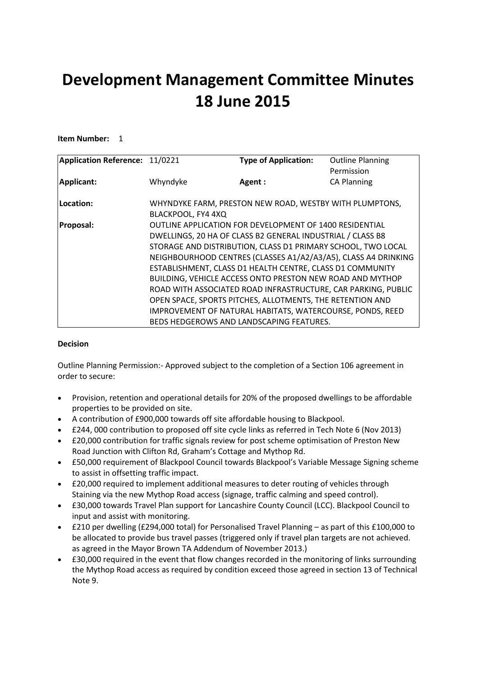# **Development Management Committee Minutes 18 June 2015**

# **Item Number:** 1

| Application Reference: 11/0221 |                                                            | <b>Type of Application:</b>                                    | <b>Outline Planning</b> |  |
|--------------------------------|------------------------------------------------------------|----------------------------------------------------------------|-------------------------|--|
|                                |                                                            |                                                                | Permission              |  |
| Applicant:                     | Whyndyke                                                   | Agent:                                                         | <b>CA Planning</b>      |  |
|                                |                                                            |                                                                |                         |  |
| Location:                      |                                                            | WHYNDYKE FARM, PRESTON NEW ROAD, WESTBY WITH PLUMPTONS,        |                         |  |
|                                | BLACKPOOL, FY4 4XQ                                         |                                                                |                         |  |
| Proposal:                      |                                                            | <b>OUTLINE APPLICATION FOR DEVELOPMENT OF 1400 RESIDENTIAL</b> |                         |  |
|                                | DWELLINGS, 20 HA OF CLASS B2 GENERAL INDUSTRIAL / CLASS B8 |                                                                |                         |  |
|                                |                                                            | STORAGE AND DISTRIBUTION, CLASS D1 PRIMARY SCHOOL, TWO LOCAL   |                         |  |
|                                |                                                            | NEIGHBOURHOOD CENTRES (CLASSES A1/A2/A3/A5), CLASS A4 DRINKING |                         |  |
|                                |                                                            | ESTABLISHMENT, CLASS D1 HEALTH CENTRE, CLASS D1 COMMUNITY      |                         |  |
|                                |                                                            | BUILDING, VEHICLE ACCESS ONTO PRESTON NEW ROAD AND MYTHOP      |                         |  |
|                                |                                                            | ROAD WITH ASSOCIATED ROAD INFRASTRUCTURE, CAR PARKING, PUBLIC  |                         |  |
|                                |                                                            | OPEN SPACE, SPORTS PITCHES, ALLOTMENTS, THE RETENTION AND      |                         |  |
|                                |                                                            | IMPROVEMENT OF NATURAL HABITATS, WATERCOURSE, PONDS, REED      |                         |  |
|                                |                                                            | BEDS HEDGEROWS AND LANDSCAPING FEATURES.                       |                         |  |

## **Decision**

Outline Planning Permission:- Approved subject to the completion of a Section 106 agreement in order to secure:

- Provision, retention and operational details for 20% of the proposed dwellings to be affordable properties to be provided on site.
- A contribution of £900,000 towards off site affordable housing to Blackpool.
- £244, 000 contribution to proposed off site cycle links as referred in Tech Note 6 (Nov 2013)
- £20,000 contribution for traffic signals review for post scheme optimisation of Preston New Road Junction with Clifton Rd, Graham's Cottage and Mythop Rd.
- £50,000 requirement of Blackpool Council towards Blackpool's Variable Message Signing scheme to assist in offsetting traffic impact.
- £20,000 required to implement additional measures to deter routing of vehicles through Staining via the new Mythop Road access (signage, traffic calming and speed control).
- £30,000 towards Travel Plan support for Lancashire County Council (LCC). Blackpool Council to input and assist with monitoring.
- £210 per dwelling (£294,000 total) for Personalised Travel Planning as part of this £100,000 to be allocated to provide bus travel passes (triggered only if travel plan targets are not achieved. as agreed in the Mayor Brown TA Addendum of November 2013.)
- £30,000 required in the event that flow changes recorded in the monitoring of links surrounding the Mythop Road access as required by condition exceed those agreed in section 13 of Technical Note 9.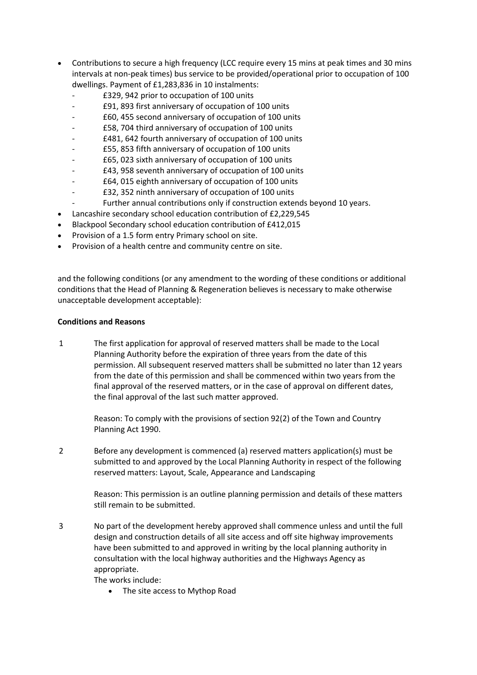- Contributions to secure a high frequency (LCC require every 15 mins at peak times and 30 mins intervals at non-peak times) bus service to be provided/operational prior to occupation of 100 dwellings. Payment of £1,283,836 in 10 instalments:
	- £329, 942 prior to occupation of 100 units
	- £91, 893 first anniversary of occupation of 100 units
	- £60, 455 second anniversary of occupation of 100 units
	- £58, 704 third anniversary of occupation of 100 units
	- £481, 642 fourth anniversary of occupation of 100 units
	- £55, 853 fifth anniversary of occupation of 100 units
	- £65, 023 sixth anniversary of occupation of 100 units
	- £43, 958 seventh anniversary of occupation of 100 units
	- £64, 015 eighth anniversary of occupation of 100 units
	- £32, 352 ninth anniversary of occupation of 100 units
	- Further annual contributions only if construction extends beyond 10 years.
- Lancashire secondary school education contribution of £2,229,545
- Blackpool Secondary school education contribution of £412,015
- Provision of a 1.5 form entry Primary school on site.
- Provision of a health centre and community centre on site.

and the following conditions (or any amendment to the wording of these conditions or additional conditions that the Head of Planning & Regeneration believes is necessary to make otherwise unacceptable development acceptable):

## **Conditions and Reasons**

1 The first application for approval of reserved matters shall be made to the Local Planning Authority before the expiration of three years from the date of this permission. All subsequent reserved matters shall be submitted no later than 12 years from the date of this permission and shall be commenced within two years from the final approval of the reserved matters, or in the case of approval on different dates, the final approval of the last such matter approved.

> Reason: To comply with the provisions of section 92(2) of the Town and Country Planning Act 1990.

2 Before any development is commenced (a) reserved matters application(s) must be submitted to and approved by the Local Planning Authority in respect of the following reserved matters: Layout, Scale, Appearance and Landscaping

> Reason: This permission is an outline planning permission and details of these matters still remain to be submitted.

3 No part of the development hereby approved shall commence unless and until the full design and construction details of all site access and off site highway improvements have been submitted to and approved in writing by the local planning authority in consultation with the local highway authorities and the Highways Agency as appropriate.

The works include:

• The site access to Mythop Road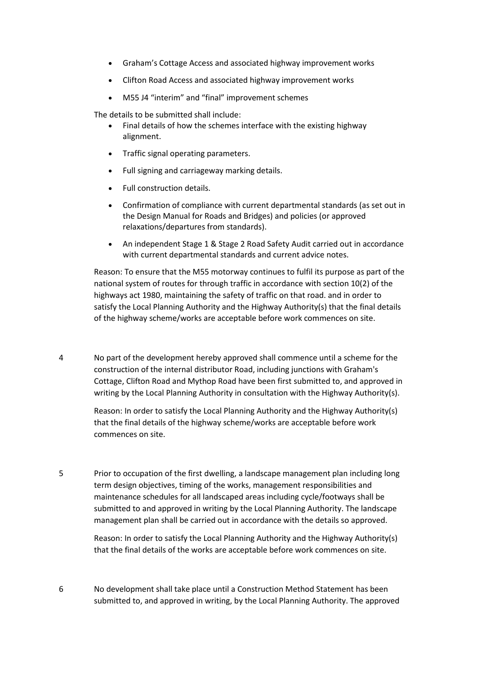- Graham's Cottage Access and associated highway improvement works
- Clifton Road Access and associated highway improvement works
- M55 J4 "interim" and "final" improvement schemes

The details to be submitted shall include:

- Final details of how the schemes interface with the existing highway alignment.
- Traffic signal operating parameters.
- Full signing and carriageway marking details.
- Full construction details.
- Confirmation of compliance with current departmental standards (as set out in the Design Manual for Roads and Bridges) and policies (or approved relaxations/departures from standards).
- An independent Stage 1 & Stage 2 Road Safety Audit carried out in accordance with current departmental standards and current advice notes.

Reason: To ensure that the M55 motorway continues to fulfil its purpose as part of the national system of routes for through traffic in accordance with section 10(2) of the highways act 1980, maintaining the safety of traffic on that road. and in order to satisfy the Local Planning Authority and the Highway Authority(s) that the final details of the highway scheme/works are acceptable before work commences on site.

4 No part of the development hereby approved shall commence until a scheme for the construction of the internal distributor Road, including junctions with Graham's Cottage, Clifton Road and Mythop Road have been first submitted to, and approved in writing by the Local Planning Authority in consultation with the Highway Authority(s).

> Reason: In order to satisfy the Local Planning Authority and the Highway Authority(s) that the final details of the highway scheme/works are acceptable before work commences on site.

5 Prior to occupation of the first dwelling, a landscape management plan including long term design objectives, timing of the works, management responsibilities and maintenance schedules for all landscaped areas including cycle/footways shall be submitted to and approved in writing by the Local Planning Authority. The landscape management plan shall be carried out in accordance with the details so approved.

> Reason: In order to satisfy the Local Planning Authority and the Highway Authority(s) that the final details of the works are acceptable before work commences on site.

6 No development shall take place until a Construction Method Statement has been submitted to, and approved in writing, by the Local Planning Authority. The approved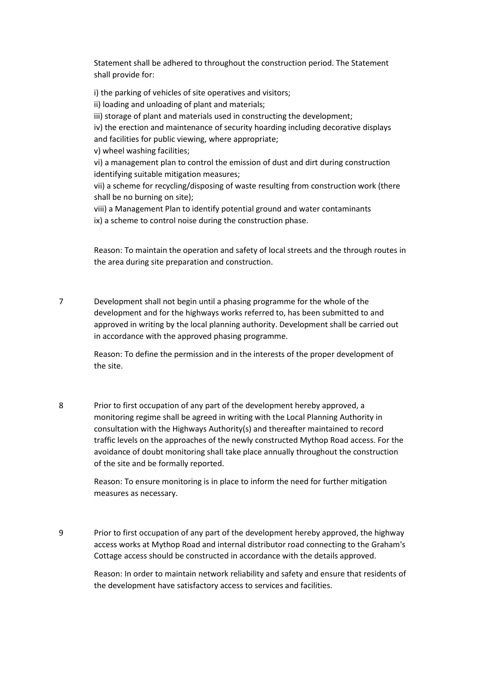Statement shall be adhered to throughout the construction period. The Statement shall provide for:

i) the parking of vehicles of site operatives and visitors;

ii) loading and unloading of plant and materials;

iii) storage of plant and materials used in constructing the development;

iv) the erection and maintenance of security hoarding including decorative displays and facilities for public viewing, where appropriate;

v) wheel washing facilities;

vi) a management plan to control the emission of dust and dirt during construction identifying suitable mitigation measures;

vii) a scheme for recycling/disposing of waste resulting from construction work (there shall be no burning on site);

viii) a Management Plan to identify potential ground and water contaminants ix) a scheme to control noise during the construction phase.

Reason: To maintain the operation and safety of local streets and the through routes in the area during site preparation and construction.

7 Development shall not begin until a phasing programme for the whole of the development and for the highways works referred to, has been submitted to and approved in writing by the local planning authority. Development shall be carried out in accordance with the approved phasing programme.

> Reason: To define the permission and in the interests of the proper development of the site.

8 Prior to first occupation of any part of the development hereby approved, a monitoring regime shall be agreed in writing with the Local Planning Authority in consultation with the Highways Authority(s) and thereafter maintained to record traffic levels on the approaches of the newly constructed Mythop Road access. For the avoidance of doubt monitoring shall take place annually throughout the construction of the site and be formally reported.

> Reason: To ensure monitoring is in place to inform the need for further mitigation measures as necessary.

9 Prior to first occupation of any part of the development hereby approved, the highway access works at Mythop Road and internal distributor road connecting to the Graham's Cottage access should be constructed in accordance with the details approved.

> Reason: In order to maintain network reliability and safety and ensure that residents of the development have satisfactory access to services and facilities.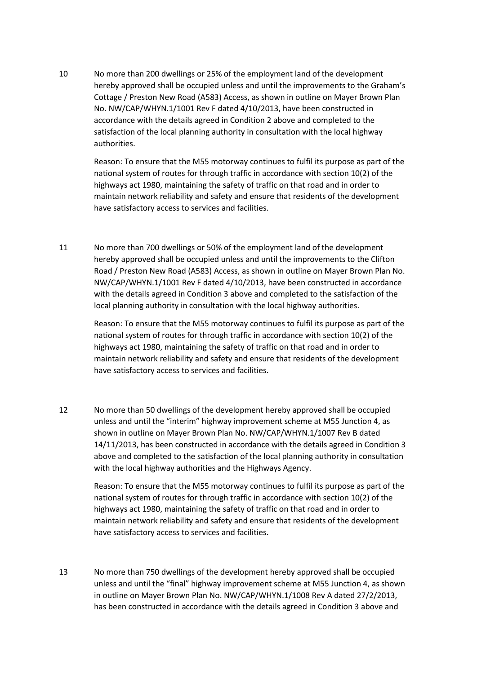10 No more than 200 dwellings or 25% of the employment land of the development hereby approved shall be occupied unless and until the improvements to the Graham's Cottage / Preston New Road (A583) Access, as shown in outline on Mayer Brown Plan No. NW/CAP/WHYN.1/1001 Rev F dated 4/10/2013, have been constructed in accordance with the details agreed in Condition 2 above and completed to the satisfaction of the local planning authority in consultation with the local highway authorities.

Reason: To ensure that the M55 motorway continues to fulfil its purpose as part of the national system of routes for through traffic in accordance with section 10(2) of the highways act 1980, maintaining the safety of traffic on that road and in order to maintain network reliability and safety and ensure that residents of the development have satisfactory access to services and facilities.

11 No more than 700 dwellings or 50% of the employment land of the development hereby approved shall be occupied unless and until the improvements to the Clifton Road / Preston New Road (A583) Access, as shown in outline on Mayer Brown Plan No. NW/CAP/WHYN.1/1001 Rev F dated 4/10/2013, have been constructed in accordance with the details agreed in Condition 3 above and completed to the satisfaction of the local planning authority in consultation with the local highway authorities.

> Reason: To ensure that the M55 motorway continues to fulfil its purpose as part of the national system of routes for through traffic in accordance with section 10(2) of the highways act 1980, maintaining the safety of traffic on that road and in order to maintain network reliability and safety and ensure that residents of the development have satisfactory access to services and facilities.

12 No more than 50 dwellings of the development hereby approved shall be occupied unless and until the "interim" highway improvement scheme at M55 Junction 4, as shown in outline on Mayer Brown Plan No. NW/CAP/WHYN.1/1007 Rev B dated 14/11/2013, has been constructed in accordance with the details agreed in Condition 3 above and completed to the satisfaction of the local planning authority in consultation with the local highway authorities and the Highways Agency.

Reason: To ensure that the M55 motorway continues to fulfil its purpose as part of the national system of routes for through traffic in accordance with section 10(2) of the highways act 1980, maintaining the safety of traffic on that road and in order to maintain network reliability and safety and ensure that residents of the development have satisfactory access to services and facilities.

13 No more than 750 dwellings of the development hereby approved shall be occupied unless and until the "final" highway improvement scheme at M55 Junction 4, as shown in outline on Mayer Brown Plan No. NW/CAP/WHYN.1/1008 Rev A dated 27/2/2013, has been constructed in accordance with the details agreed in Condition 3 above and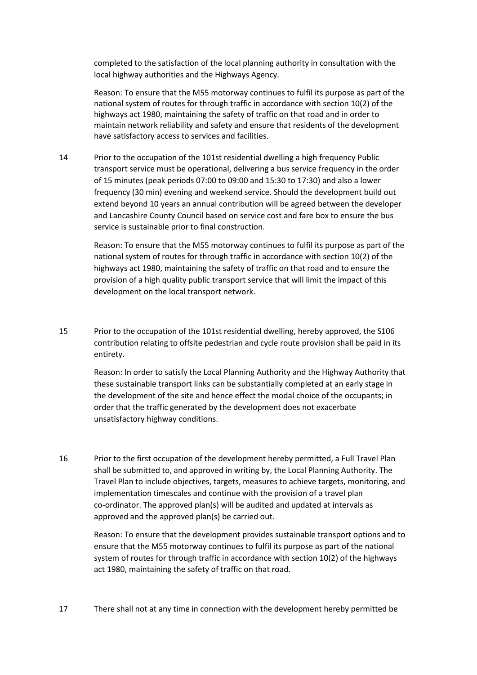completed to the satisfaction of the local planning authority in consultation with the local highway authorities and the Highways Agency.

Reason: To ensure that the M55 motorway continues to fulfil its purpose as part of the national system of routes for through traffic in accordance with section 10(2) of the highways act 1980, maintaining the safety of traffic on that road and in order to maintain network reliability and safety and ensure that residents of the development have satisfactory access to services and facilities.

14 Prior to the occupation of the 101st residential dwelling a high frequency Public transport service must be operational, delivering a bus service frequency in the order of 15 minutes (peak periods 07:00 to 09:00 and 15:30 to 17:30) and also a lower frequency (30 min) evening and weekend service. Should the development build out extend beyond 10 years an annual contribution will be agreed between the developer and Lancashire County Council based on service cost and fare box to ensure the bus service is sustainable prior to final construction.

> Reason: To ensure that the M55 motorway continues to fulfil its purpose as part of the national system of routes for through traffic in accordance with section 10(2) of the highways act 1980, maintaining the safety of traffic on that road and to ensure the provision of a high quality public transport service that will limit the impact of this development on the local transport network.

15 Prior to the occupation of the 101st residential dwelling, hereby approved, the S106 contribution relating to offsite pedestrian and cycle route provision shall be paid in its entirety.

> Reason: In order to satisfy the Local Planning Authority and the Highway Authority that these sustainable transport links can be substantially completed at an early stage in the development of the site and hence effect the modal choice of the occupants; in order that the traffic generated by the development does not exacerbate unsatisfactory highway conditions.

16 Prior to the first occupation of the development hereby permitted, a Full Travel Plan shall be submitted to, and approved in writing by, the Local Planning Authority. The Travel Plan to include objectives, targets, measures to achieve targets, monitoring, and implementation timescales and continue with the provision of a travel plan co-ordinator. The approved plan(s) will be audited and updated at intervals as approved and the approved plan(s) be carried out.

> Reason: To ensure that the development provides sustainable transport options and to ensure that the M55 motorway continues to fulfil its purpose as part of the national system of routes for through traffic in accordance with section 10(2) of the highways act 1980, maintaining the safety of traffic on that road.

17 There shall not at any time in connection with the development hereby permitted be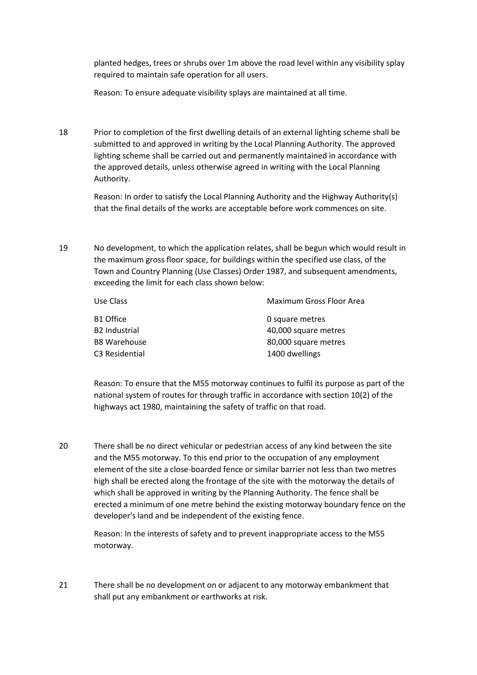planted hedges, trees or shrubs over 1m above the road level within any visibility splay required to maintain safe operation for all users.

Reason: To ensure adequate visibility splays are maintained at all time.

18 Prior to completion of the first dwelling details of an external lighting scheme shall be submitted to and approved in writing by the Local Planning Authority. The approved lighting scheme shall be carried out and permanently maintained in accordance with the approved details, unless otherwise agreed in writing with the Local Planning Authority.

> Reason: In order to satisfy the Local Planning Authority and the Highway Authority(s) that the final details of the works are acceptable before work commences on site.

19 No development, to which the application relates, shall be begun which would result in the maximum gross floor space, for buildings within the specified use class, of the Town and Country Planning (Use Classes) Order 1987, and subsequent amendments, exceeding the limit for each class shown below:

| Use Class                  | Maximum Gross Floor Area |
|----------------------------|--------------------------|
| B1 Office                  | 0 square metres          |
| <b>B2 Industrial</b>       | 40,000 square metres     |
| <b>B8 Warehouse</b>        | 80,000 square metres     |
| C <sub>3</sub> Residential | 1400 dwellings           |

Reason: To ensure that the M55 motorway continues to fulfil its purpose as part of the national system of routes for through traffic in accordance with section 10(2) of the highways act 1980, maintaining the safety of traffic on that road.

20 There shall be no direct vehicular or pedestrian access of any kind between the site and the M55 motorway. To this end prior to the occupation of any employment element of the site a close-boarded fence or similar barrier not less than two metres high shall be erected along the frontage of the site with the motorway the details of which shall be approved in writing by the Planning Authority. The fence shall be erected a minimum of one metre behind the existing motorway boundary fence on the developer's land and be independent of the existing fence.

Reason: In the interests of safety and to prevent inappropriate access to the M55 motorway.

21 There shall be no development on or adjacent to any motorway embankment that shall put any embankment or earthworks at risk.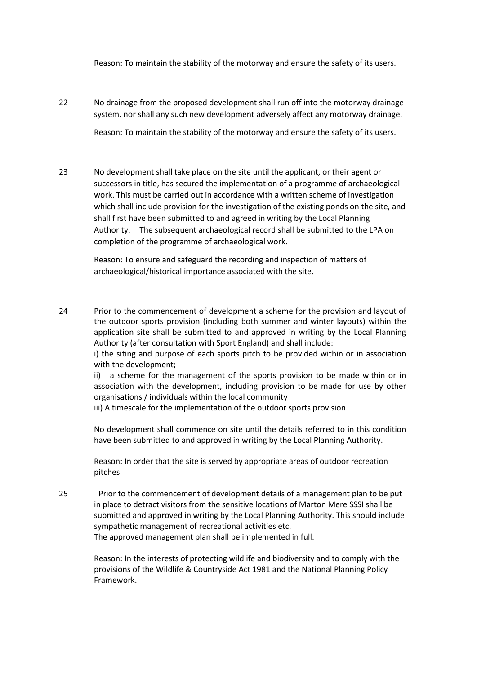Reason: To maintain the stability of the motorway and ensure the safety of its users.

22 No drainage from the proposed development shall run off into the motorway drainage system, nor shall any such new development adversely affect any motorway drainage.

Reason: To maintain the stability of the motorway and ensure the safety of its users.

23 No development shall take place on the site until the applicant, or their agent or successors in title, has secured the implementation of a programme of archaeological work. This must be carried out in accordance with a written scheme of investigation which shall include provision for the investigation of the existing ponds on the site, and shall first have been submitted to and agreed in writing by the Local Planning Authority. The subsequent archaeological record shall be submitted to the LPA on completion of the programme of archaeological work.

Reason: To ensure and safeguard the recording and inspection of matters of archaeological/historical importance associated with the site.

24 Prior to the commencement of development a scheme for the provision and layout of the outdoor sports provision (including both summer and winter layouts) within the application site shall be submitted to and approved in writing by the Local Planning Authority (after consultation with Sport England) and shall include:

i) the siting and purpose of each sports pitch to be provided within or in association with the development;

ii) a scheme for the management of the sports provision to be made within or in association with the development, including provision to be made for use by other organisations / individuals within the local community

iii) A timescale for the implementation of the outdoor sports provision.

No development shall commence on site until the details referred to in this condition have been submitted to and approved in writing by the Local Planning Authority.

Reason: In order that the site is served by appropriate areas of outdoor recreation pitches

25 Prior to the commencement of development details of a management plan to be put in place to detract visitors from the sensitive locations of Marton Mere SSSI shall be submitted and approved in writing by the Local Planning Authority. This should include sympathetic management of recreational activities etc. The approved management plan shall be implemented in full.

> Reason: In the interests of protecting wildlife and biodiversity and to comply with the provisions of the Wildlife & Countryside Act 1981 and the National Planning Policy Framework.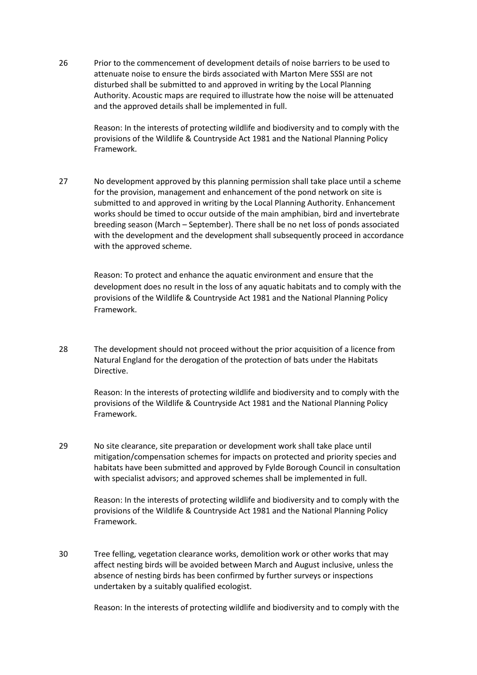26 Prior to the commencement of development details of noise barriers to be used to attenuate noise to ensure the birds associated with Marton Mere SSSI are not disturbed shall be submitted to and approved in writing by the Local Planning Authority. Acoustic maps are required to illustrate how the noise will be attenuated and the approved details shall be implemented in full.

> Reason: In the interests of protecting wildlife and biodiversity and to comply with the provisions of the Wildlife & Countryside Act 1981 and the National Planning Policy Framework.

27 No development approved by this planning permission shall take place until a scheme for the provision, management and enhancement of the pond network on site is submitted to and approved in writing by the Local Planning Authority. Enhancement works should be timed to occur outside of the main amphibian, bird and invertebrate breeding season (March – September). There shall be no net loss of ponds associated with the development and the development shall subsequently proceed in accordance with the approved scheme.

> Reason: To protect and enhance the aquatic environment and ensure that the development does no result in the loss of any aquatic habitats and to comply with the provisions of the Wildlife & Countryside Act 1981 and the National Planning Policy Framework.

28 The development should not proceed without the prior acquisition of a licence from Natural England for the derogation of the protection of bats under the Habitats Directive.

> Reason: In the interests of protecting wildlife and biodiversity and to comply with the provisions of the Wildlife & Countryside Act 1981 and the National Planning Policy Framework.

29 No site clearance, site preparation or development work shall take place until mitigation/compensation schemes for impacts on protected and priority species and habitats have been submitted and approved by Fylde Borough Council in consultation with specialist advisors; and approved schemes shall be implemented in full.

> Reason: In the interests of protecting wildlife and biodiversity and to comply with the provisions of the Wildlife & Countryside Act 1981 and the National Planning Policy Framework.

30 Tree felling, vegetation clearance works, demolition work or other works that may affect nesting birds will be avoided between March and August inclusive, unless the absence of nesting birds has been confirmed by further surveys or inspections undertaken by a suitably qualified ecologist.

Reason: In the interests of protecting wildlife and biodiversity and to comply with the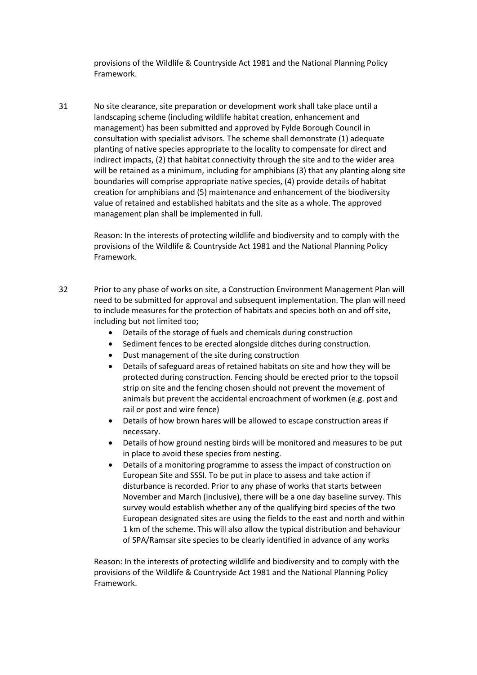provisions of the Wildlife & Countryside Act 1981 and the National Planning Policy Framework.

31 No site clearance, site preparation or development work shall take place until a landscaping scheme (including wildlife habitat creation, enhancement and management) has been submitted and approved by Fylde Borough Council in consultation with specialist advisors. The scheme shall demonstrate (1) adequate planting of native species appropriate to the locality to compensate for direct and indirect impacts, (2) that habitat connectivity through the site and to the wider area will be retained as a minimum, including for amphibians (3) that any planting along site boundaries will comprise appropriate native species, (4) provide details of habitat creation for amphibians and (5) maintenance and enhancement of the biodiversity value of retained and established habitats and the site as a whole. The approved management plan shall be implemented in full.

Reason: In the interests of protecting wildlife and biodiversity and to comply with the provisions of the Wildlife & Countryside Act 1981 and the National Planning Policy Framework.

- 32 Prior to any phase of works on site, a Construction Environment Management Plan will need to be submitted for approval and subsequent implementation. The plan will need to include measures for the protection of habitats and species both on and off site, including but not limited too;
	- Details of the storage of fuels and chemicals during construction
	- Sediment fences to be erected alongside ditches during construction.
	- Dust management of the site during construction
	- Details of safeguard areas of retained habitats on site and how they will be protected during construction. Fencing should be erected prior to the topsoil strip on site and the fencing chosen should not prevent the movement of animals but prevent the accidental encroachment of workmen (e.g. post and rail or post and wire fence)
	- Details of how brown hares will be allowed to escape construction areas if necessary.
	- Details of how ground nesting birds will be monitored and measures to be put in place to avoid these species from nesting.
	- Details of a monitoring programme to assess the impact of construction on European Site and SSSI. To be put in place to assess and take action if disturbance is recorded. Prior to any phase of works that starts between November and March (inclusive), there will be a one day baseline survey. This survey would establish whether any of the qualifying bird species of the two European designated sites are using the fields to the east and north and within 1 km of the scheme. This will also allow the typical distribution and behaviour of SPA/Ramsar site species to be clearly identified in advance of any works

Reason: In the interests of protecting wildlife and biodiversity and to comply with the provisions of the Wildlife & Countryside Act 1981 and the National Planning Policy Framework.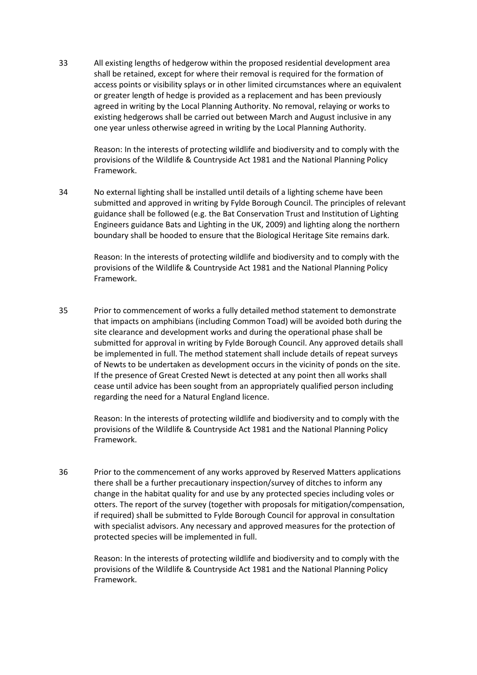33 All existing lengths of hedgerow within the proposed residential development area shall be retained, except for where their removal is required for the formation of access points or visibility splays or in other limited circumstances where an equivalent or greater length of hedge is provided as a replacement and has been previously agreed in writing by the Local Planning Authority. No removal, relaying or works to existing hedgerows shall be carried out between March and August inclusive in any one year unless otherwise agreed in writing by the Local Planning Authority.

> Reason: In the interests of protecting wildlife and biodiversity and to comply with the provisions of the Wildlife & Countryside Act 1981 and the National Planning Policy Framework.

34 No external lighting shall be installed until details of a lighting scheme have been submitted and approved in writing by Fylde Borough Council. The principles of relevant guidance shall be followed (e.g. the Bat Conservation Trust and Institution of Lighting Engineers guidance Bats and Lighting in the UK, 2009) and lighting along the northern boundary shall be hooded to ensure that the Biological Heritage Site remains dark.

> Reason: In the interests of protecting wildlife and biodiversity and to comply with the provisions of the Wildlife & Countryside Act 1981 and the National Planning Policy Framework.

35 Prior to commencement of works a fully detailed method statement to demonstrate that impacts on amphibians (including Common Toad) will be avoided both during the site clearance and development works and during the operational phase shall be submitted for approval in writing by Fylde Borough Council. Any approved details shall be implemented in full. The method statement shall include details of repeat surveys of Newts to be undertaken as development occurs in the vicinity of ponds on the site. If the presence of Great Crested Newt is detected at any point then all works shall cease until advice has been sought from an appropriately qualified person including regarding the need for a Natural England licence.

> Reason: In the interests of protecting wildlife and biodiversity and to comply with the provisions of the Wildlife & Countryside Act 1981 and the National Planning Policy Framework.

36 Prior to the commencement of any works approved by Reserved Matters applications there shall be a further precautionary inspection/survey of ditches to inform any change in the habitat quality for and use by any protected species including voles or otters. The report of the survey (together with proposals for mitigation/compensation, if required) shall be submitted to Fylde Borough Council for approval in consultation with specialist advisors. Any necessary and approved measures for the protection of protected species will be implemented in full.

> Reason: In the interests of protecting wildlife and biodiversity and to comply with the provisions of the Wildlife & Countryside Act 1981 and the National Planning Policy Framework.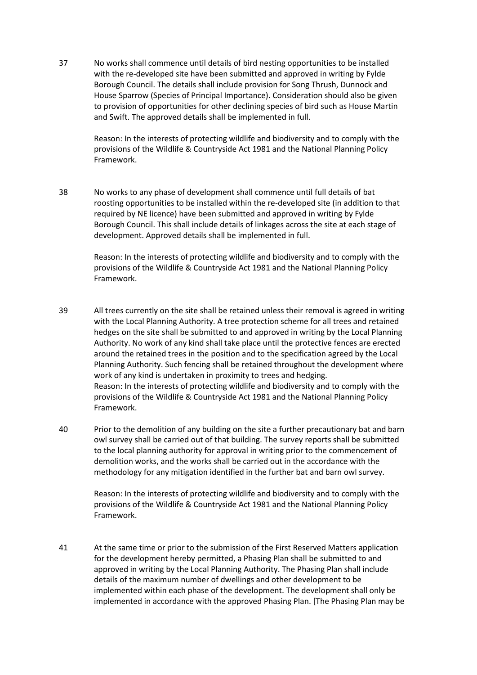37 No works shall commence until details of bird nesting opportunities to be installed with the re-developed site have been submitted and approved in writing by Fylde Borough Council. The details shall include provision for Song Thrush, Dunnock and House Sparrow (Species of Principal Importance). Consideration should also be given to provision of opportunities for other declining species of bird such as House Martin and Swift. The approved details shall be implemented in full.

> Reason: In the interests of protecting wildlife and biodiversity and to comply with the provisions of the Wildlife & Countryside Act 1981 and the National Planning Policy Framework.

38 No works to any phase of development shall commence until full details of bat roosting opportunities to be installed within the re-developed site (in addition to that required by NE licence) have been submitted and approved in writing by Fylde Borough Council. This shall include details of linkages across the site at each stage of development. Approved details shall be implemented in full.

> Reason: In the interests of protecting wildlife and biodiversity and to comply with the provisions of the Wildlife & Countryside Act 1981 and the National Planning Policy Framework.

- 39 All trees currently on the site shall be retained unless their removal is agreed in writing with the Local Planning Authority. A tree protection scheme for all trees and retained hedges on the site shall be submitted to and approved in writing by the Local Planning Authority. No work of any kind shall take place until the protective fences are erected around the retained trees in the position and to the specification agreed by the Local Planning Authority. Such fencing shall be retained throughout the development where work of any kind is undertaken in proximity to trees and hedging. Reason: In the interests of protecting wildlife and biodiversity and to comply with the provisions of the Wildlife & Countryside Act 1981 and the National Planning Policy Framework.
- 40 Prior to the demolition of any building on the site a further precautionary bat and barn owl survey shall be carried out of that building. The survey reports shall be submitted to the local planning authority for approval in writing prior to the commencement of demolition works, and the works shall be carried out in the accordance with the methodology for any mitigation identified in the further bat and barn owl survey.

Reason: In the interests of protecting wildlife and biodiversity and to comply with the provisions of the Wildlife & Countryside Act 1981 and the National Planning Policy Framework.

41 At the same time or prior to the submission of the First Reserved Matters application for the development hereby permitted, a Phasing Plan shall be submitted to and approved in writing by the Local Planning Authority. The Phasing Plan shall include details of the maximum number of dwellings and other development to be implemented within each phase of the development. The development shall only be implemented in accordance with the approved Phasing Plan. [The Phasing Plan may be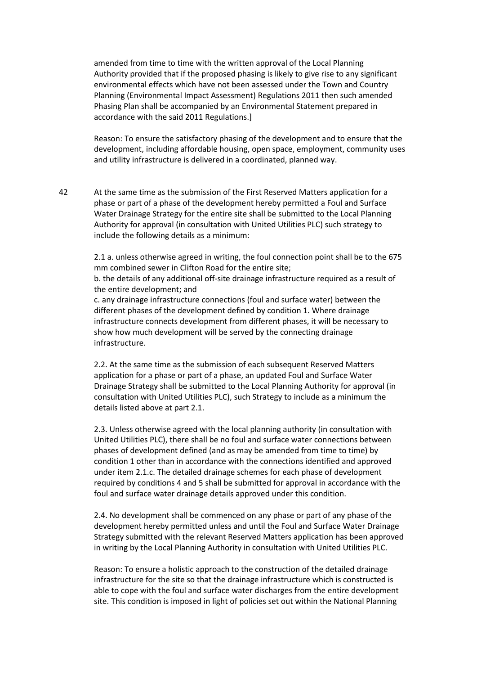amended from time to time with the written approval of the Local Planning Authority provided that if the proposed phasing is likely to give rise to any significant environmental effects which have not been assessed under the Town and Country Planning (Environmental Impact Assessment) Regulations 2011 then such amended Phasing Plan shall be accompanied by an Environmental Statement prepared in accordance with the said 2011 Regulations.]

Reason: To ensure the satisfactory phasing of the development and to ensure that the development, including affordable housing, open space, employment, community uses and utility infrastructure is delivered in a coordinated, planned way.

42 At the same time as the submission of the First Reserved Matters application for a phase or part of a phase of the development hereby permitted a Foul and Surface Water Drainage Strategy for the entire site shall be submitted to the Local Planning Authority for approval (in consultation with United Utilities PLC) such strategy to include the following details as a minimum:

> 2.1 a. unless otherwise agreed in writing, the foul connection point shall be to the 675 mm combined sewer in Clifton Road for the entire site;

b. the details of any additional off-site drainage infrastructure required as a result of the entire development; and

c. any drainage infrastructure connections (foul and surface water) between the different phases of the development defined by condition 1. Where drainage infrastructure connects development from different phases, it will be necessary to show how much development will be served by the connecting drainage infrastructure.

2.2. At the same time as the submission of each subsequent Reserved Matters application for a phase or part of a phase, an updated Foul and Surface Water Drainage Strategy shall be submitted to the Local Planning Authority for approval (in consultation with United Utilities PLC), such Strategy to include as a minimum the details listed above at part 2.1.

2.3. Unless otherwise agreed with the local planning authority (in consultation with United Utilities PLC), there shall be no foul and surface water connections between phases of development defined (and as may be amended from time to time) by condition 1 other than in accordance with the connections identified and approved under item 2.1.c. The detailed drainage schemes for each phase of development required by conditions 4 and 5 shall be submitted for approval in accordance with the foul and surface water drainage details approved under this condition.

2.4. No development shall be commenced on any phase or part of any phase of the development hereby permitted unless and until the Foul and Surface Water Drainage Strategy submitted with the relevant Reserved Matters application has been approved in writing by the Local Planning Authority in consultation with United Utilities PLC.

Reason: To ensure a holistic approach to the construction of the detailed drainage infrastructure for the site so that the drainage infrastructure which is constructed is able to cope with the foul and surface water discharges from the entire development site. This condition is imposed in light of policies set out within the National Planning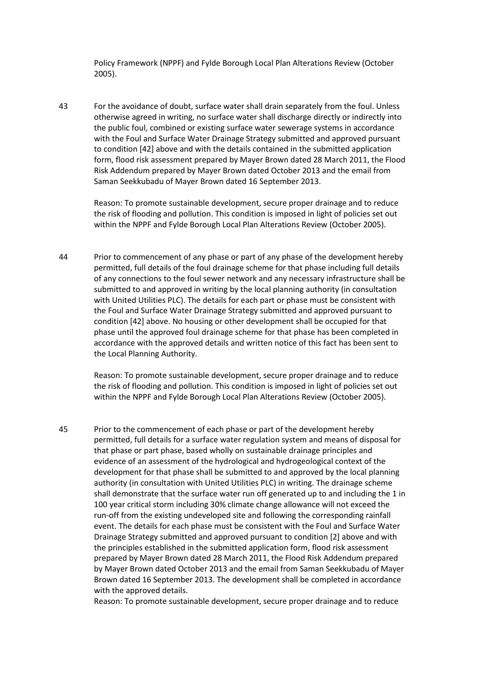Policy Framework (NPPF) and Fylde Borough Local Plan Alterations Review (October 2005).

43 For the avoidance of doubt, surface water shall drain separately from the foul. Unless otherwise agreed in writing, no surface water shall discharge directly or indirectly into the public foul, combined or existing surface water sewerage systems in accordance with the Foul and Surface Water Drainage Strategy submitted and approved pursuant to condition [42] above and with the details contained in the submitted application form, flood risk assessment prepared by Mayer Brown dated 28 March 2011, the Flood Risk Addendum prepared by Mayer Brown dated October 2013 and the email from Saman Seekkubadu of Mayer Brown dated 16 September 2013.

Reason: To promote sustainable development, secure proper drainage and to reduce the risk of flooding and pollution. This condition is imposed in light of policies set out within the NPPF and Fylde Borough Local Plan Alterations Review (October 2005).

44 Prior to commencement of any phase or part of any phase of the development hereby permitted, full details of the foul drainage scheme for that phase including full details of any connections to the foul sewer network and any necessary infrastructure shall be submitted to and approved in writing by the local planning authority (in consultation with United Utilities PLC). The details for each part or phase must be consistent with the Foul and Surface Water Drainage Strategy submitted and approved pursuant to condition [42] above. No housing or other development shall be occupied for that phase until the approved foul drainage scheme for that phase has been completed in accordance with the approved details and written notice of this fact has been sent to the Local Planning Authority.

Reason: To promote sustainable development, secure proper drainage and to reduce the risk of flooding and pollution. This condition is imposed in light of policies set out within the NPPF and Fylde Borough Local Plan Alterations Review (October 2005).

45 Prior to the commencement of each phase or part of the development hereby permitted, full details for a surface water regulation system and means of disposal for that phase or part phase, based wholly on sustainable drainage principles and evidence of an assessment of the hydrological and hydrogeological context of the development for that phase shall be submitted to and approved by the local planning authority (in consultation with United Utilities PLC) in writing. The drainage scheme shall demonstrate that the surface water run off generated up to and including the 1 in 100 year critical storm including 30% climate change allowance will not exceed the run-off from the existing undeveloped site and following the corresponding rainfall event. The details for each phase must be consistent with the Foul and Surface Water Drainage Strategy submitted and approved pursuant to condition [2] above and with the principles established in the submitted application form, flood risk assessment prepared by Mayer Brown dated 28 March 2011, the Flood Risk Addendum prepared by Mayer Brown dated October 2013 and the email from Saman Seekkubadu of Mayer Brown dated 16 September 2013. The development shall be completed in accordance with the approved details.

Reason: To promote sustainable development, secure proper drainage and to reduce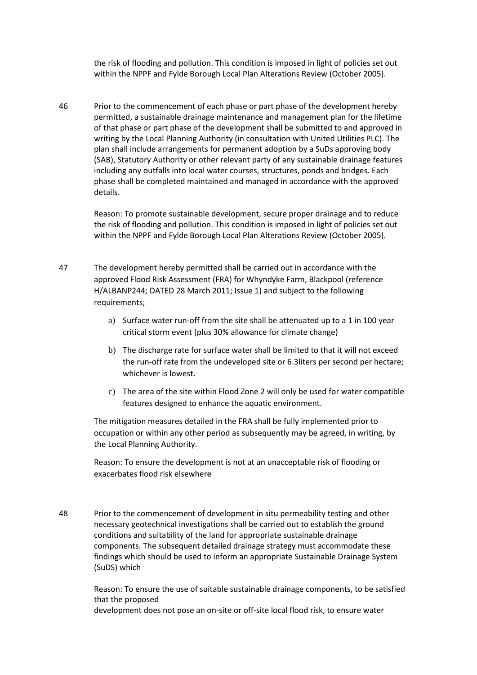the risk of flooding and pollution. This condition is imposed in light of policies set out within the NPPF and Fylde Borough Local Plan Alterations Review (October 2005).

46 Prior to the commencement of each phase or part phase of the development hereby permitted, a sustainable drainage maintenance and management plan for the lifetime of that phase or part phase of the development shall be submitted to and approved in writing by the Local Planning Authority (in consultation with United Utilities PLC). The plan shall include arrangements for permanent adoption by a SuDs approving body (SAB), Statutory Authority or other relevant party of any sustainable drainage features including any outfalls into local water courses, structures, ponds and bridges. Each phase shall be completed maintained and managed in accordance with the approved details.

> Reason: To promote sustainable development, secure proper drainage and to reduce the risk of flooding and pollution. This condition is imposed in light of policies set out within the NPPF and Fylde Borough Local Plan Alterations Review (October 2005).

- 47 The development hereby permitted shall be carried out in accordance with the approved Flood Risk Assessment (FRA) for Whyndyke Farm, Blackpool (reference H/ALBANP244; DATED 28 March 2011; Issue 1) and subject to the following requirements;
	- a) Surface water run-off from the site shall be attenuated up to a 1 in 100 year critical storm event (plus 30% allowance for climate change)
	- b) The discharge rate for surface water shall be limited to that it will not exceed the run-off rate from the undeveloped site or 6.3liters per second per hectare; whichever is lowest.
	- c) The area of the site within Flood Zone 2 will only be used for water compatible features designed to enhance the aquatic environment.

The mitigation measures detailed in the FRA shall be fully implemented prior to occupation or within any other period as subsequently may be agreed, in writing, by the Local Planning Authority.

Reason: To ensure the development is not at an unacceptable risk of flooding or exacerbates flood risk elsewhere

48 Prior to the commencement of development in situ permeability testing and other necessary geotechnical investigations shall be carried out to establish the ground conditions and suitability of the land for appropriate sustainable drainage components. The subsequent detailed drainage strategy must accommodate these findings which should be used to inform an appropriate Sustainable Drainage System (SuDS) which

> Reason: To ensure the use of suitable sustainable drainage components, to be satisfied that the proposed development does not pose an on-site or off-site local flood risk, to ensure water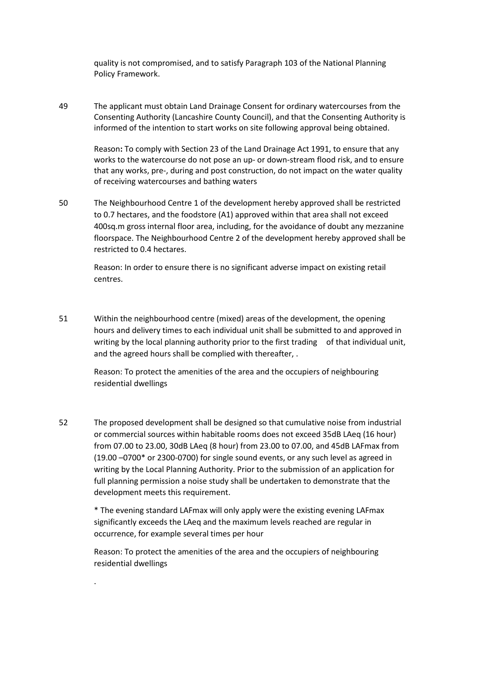quality is not compromised, and to satisfy Paragraph 103 of the National Planning Policy Framework.

49 The applicant must obtain Land Drainage Consent for ordinary watercourses from the Consenting Authority (Lancashire County Council), and that the Consenting Authority is informed of the intention to start works on site following approval being obtained.

Reason**:** To comply with Section 23 of the Land Drainage Act 1991, to ensure that any works to the watercourse do not pose an up- or down-stream flood risk, and to ensure that any works, pre-, during and post construction, do not impact on the water quality of receiving watercourses and bathing waters

50 The Neighbourhood Centre 1 of the development hereby approved shall be restricted to 0.7 hectares, and the foodstore (A1) approved within that area shall not exceed 400sq.m gross internal floor area, including, for the avoidance of doubt any mezzanine floorspace. The Neighbourhood Centre 2 of the development hereby approved shall be restricted to 0.4 hectares.

> Reason: In order to ensure there is no significant adverse impact on existing retail centres.

51 Within the neighbourhood centre (mixed) areas of the development, the opening hours and delivery times to each individual unit shall be submitted to and approved in writing by the local planning authority prior to the first trading of that individual unit, and the agreed hours shall be complied with thereafter, .

Reason: To protect the amenities of the area and the occupiers of neighbouring residential dwellings

52 The proposed development shall be designed so that cumulative noise from industrial or commercial sources within habitable rooms does not exceed 35dB LAeq (16 hour) from 07.00 to 23.00, 30dB LAeq (8 hour) from 23.00 to 07.00, and 45dB LAFmax from (19.00 –0700\* or 2300-0700) for single sound events, or any such level as agreed in writing by the Local Planning Authority. Prior to the submission of an application for full planning permission a noise study shall be undertaken to demonstrate that the development meets this requirement.

> \* The evening standard LAFmax will only apply were the existing evening LAFmax significantly exceeds the LAeq and the maximum levels reached are regular in occurrence, for example several times per hour

Reason: To protect the amenities of the area and the occupiers of neighbouring residential dwellings

.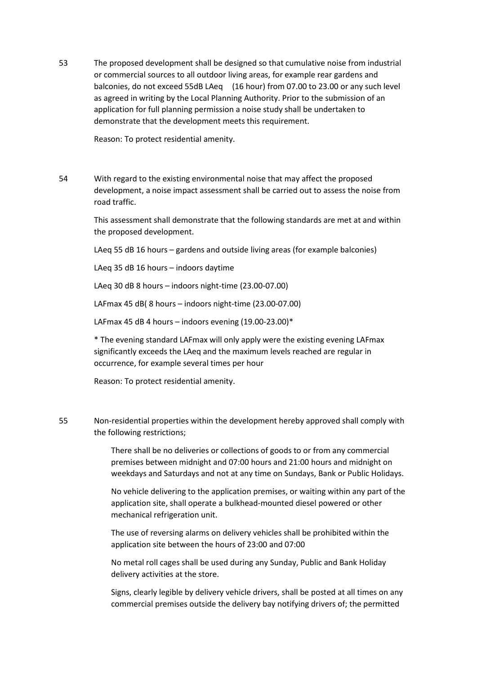53 The proposed development shall be designed so that cumulative noise from industrial or commercial sources to all outdoor living areas, for example rear gardens and balconies, do not exceed 55dB LAeq (16 hour) from 07.00 to 23.00 or any such level as agreed in writing by the Local Planning Authority. Prior to the submission of an application for full planning permission a noise study shall be undertaken to demonstrate that the development meets this requirement.

Reason: To protect residential amenity.

54 With regard to the existing environmental noise that may affect the proposed development, a noise impact assessment shall be carried out to assess the noise from road traffic.

> This assessment shall demonstrate that the following standards are met at and within the proposed development.

LAeq 55 dB 16 hours – gardens and outside living areas (for example balconies)

LAeq 35 dB 16 hours – indoors daytime

LAeq 30 dB 8 hours – indoors night-time (23.00-07.00)

LAFmax 45 dB( 8 hours – indoors night-time (23.00-07.00)

LAFmax 45 dB 4 hours – indoors evening  $(19.00-23.00)*$ 

\* The evening standard LAFmax will only apply were the existing evening LAFmax significantly exceeds the LAeq and the maximum levels reached are regular in occurrence, for example several times per hour

Reason: To protect residential amenity.

55 Non-residential properties within the development hereby approved shall comply with the following restrictions;

> There shall be no deliveries or collections of goods to or from any commercial premises between midnight and 07:00 hours and 21:00 hours and midnight on weekdays and Saturdays and not at any time on Sundays, Bank or Public Holidays.

> No vehicle delivering to the application premises, or waiting within any part of the application site, shall operate a bulkhead-mounted diesel powered or other mechanical refrigeration unit.

The use of reversing alarms on delivery vehicles shall be prohibited within the application site between the hours of 23:00 and 07:00

No metal roll cages shall be used during any Sunday, Public and Bank Holiday delivery activities at the store.

Signs, clearly legible by delivery vehicle drivers, shall be posted at all times on any commercial premises outside the delivery bay notifying drivers of; the permitted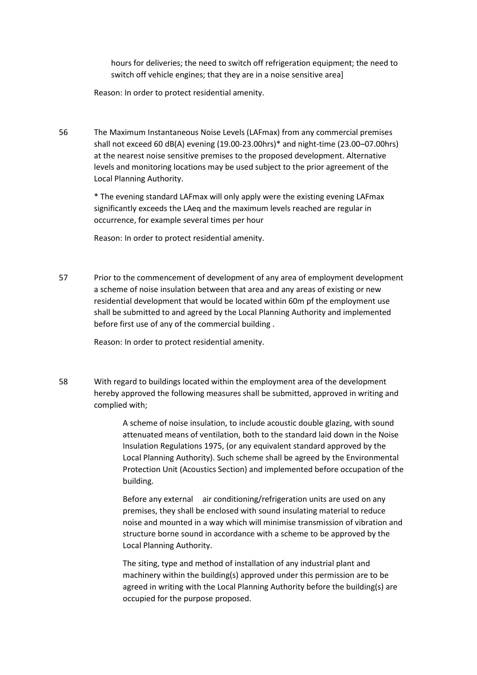hours for deliveries; the need to switch off refrigeration equipment; the need to switch off vehicle engines; that they are in a noise sensitive area]

Reason: In order to protect residential amenity.

56 The Maximum Instantaneous Noise Levels (LAFmax) from any commercial premises shall not exceed 60 dB(A) evening (19.00-23.00hrs)\* and night-time (23.00–07.00hrs) at the nearest noise sensitive premises to the proposed development. Alternative levels and monitoring locations may be used subject to the prior agreement of the Local Planning Authority.

> \* The evening standard LAFmax will only apply were the existing evening LAFmax significantly exceeds the LAeq and the maximum levels reached are regular in occurrence, for example several times per hour

Reason: In order to protect residential amenity.

57 Prior to the commencement of development of any area of employment development a scheme of noise insulation between that area and any areas of existing or new residential development that would be located within 60m pf the employment use shall be submitted to and agreed by the Local Planning Authority and implemented before first use of any of the commercial building .

Reason: In order to protect residential amenity.

58 With regard to buildings located within the employment area of the development hereby approved the following measures shall be submitted, approved in writing and complied with;

> A scheme of noise insulation, to include acoustic double glazing, with sound attenuated means of ventilation, both to the standard laid down in the Noise Insulation Regulations 1975, (or any equivalent standard approved by the Local Planning Authority). Such scheme shall be agreed by the Environmental Protection Unit (Acoustics Section) and implemented before occupation of the building.

> Before any external air conditioning/refrigeration units are used on any premises, they shall be enclosed with sound insulating material to reduce noise and mounted in a way which will minimise transmission of vibration and structure borne sound in accordance with a scheme to be approved by the Local Planning Authority.

The siting, type and method of installation of any industrial plant and machinery within the building(s) approved under this permission are to be agreed in writing with the Local Planning Authority before the building(s) are occupied for the purpose proposed.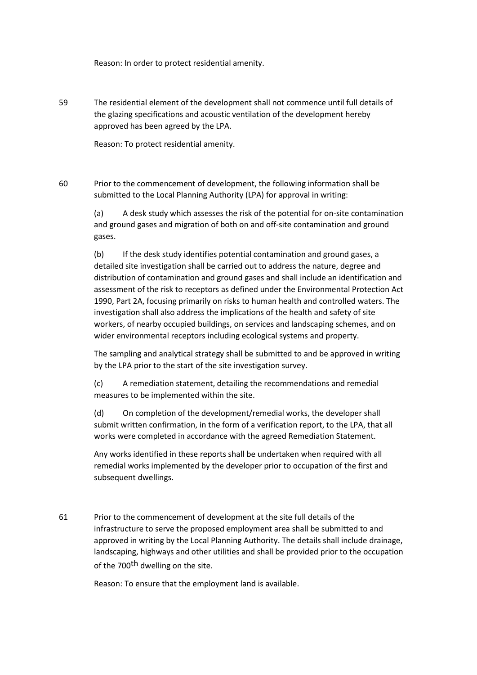Reason: In order to protect residential amenity.

59 The residential element of the development shall not commence until full details of the glazing specifications and acoustic ventilation of the development hereby approved has been agreed by the LPA.

Reason: To protect residential amenity.

60 Prior to the commencement of development, the following information shall be submitted to the Local Planning Authority (LPA) for approval in writing:

> (a) A desk study which assesses the risk of the potential for on-site contamination and ground gases and migration of both on and off-site contamination and ground gases.

> (b) If the desk study identifies potential contamination and ground gases, a detailed site investigation shall be carried out to address the nature, degree and distribution of contamination and ground gases and shall include an identification and assessment of the risk to receptors as defined under the Environmental Protection Act 1990, Part 2A, focusing primarily on risks to human health and controlled waters. The investigation shall also address the implications of the health and safety of site workers, of nearby occupied buildings, on services and landscaping schemes, and on wider environmental receptors including ecological systems and property.

> The sampling and analytical strategy shall be submitted to and be approved in writing by the LPA prior to the start of the site investigation survey.

(c) A remediation statement, detailing the recommendations and remedial measures to be implemented within the site.

(d) On completion of the development/remedial works, the developer shall submit written confirmation, in the form of a verification report, to the LPA, that all works were completed in accordance with the agreed Remediation Statement.

Any works identified in these reports shall be undertaken when required with all remedial works implemented by the developer prior to occupation of the first and subsequent dwellings.

61 Prior to the commencement of development at the site full details of the infrastructure to serve the proposed employment area shall be submitted to and approved in writing by the Local Planning Authority. The details shall include drainage, landscaping, highways and other utilities and shall be provided prior to the occupation of the 700<sup>th</sup> dwelling on the site.

Reason: To ensure that the employment land is available.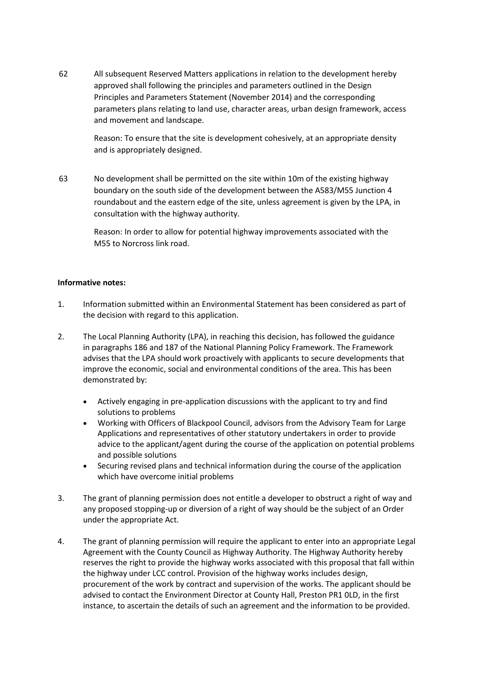62 All subsequent Reserved Matters applications in relation to the development hereby approved shall following the principles and parameters outlined in the Design Principles and Parameters Statement (November 2014) and the corresponding parameters plans relating to land use, character areas, urban design framework, access and movement and landscape.

> Reason: To ensure that the site is development cohesively, at an appropriate density and is appropriately designed.

63 No development shall be permitted on the site within 10m of the existing highway boundary on the south side of the development between the A583/M55 Junction 4 roundabout and the eastern edge of the site, unless agreement is given by the LPA, in consultation with the highway authority.

> Reason: In order to allow for potential highway improvements associated with the M55 to Norcross link road.

## **Informative notes:**

- 1. Information submitted within an Environmental Statement has been considered as part of the decision with regard to this application.
- 2. The Local Planning Authority (LPA), in reaching this decision, has followed the guidance in paragraphs 186 and 187 of the National Planning Policy Framework. The Framework advises that the LPA should work proactively with applicants to secure developments that improve the economic, social and environmental conditions of the area. This has been demonstrated by:
	- Actively engaging in pre-application discussions with the applicant to try and find solutions to problems
	- Working with Officers of Blackpool Council, advisors from the Advisory Team for Large Applications and representatives of other statutory undertakers in order to provide advice to the applicant/agent during the course of the application on potential problems and possible solutions
	- Securing revised plans and technical information during the course of the application which have overcome initial problems
- 3. The grant of planning permission does not entitle a developer to obstruct a right of way and any proposed stopping-up or diversion of a right of way should be the subject of an Order under the appropriate Act.
- 4. The grant of planning permission will require the applicant to enter into an appropriate Legal Agreement with the County Council as Highway Authority. The Highway Authority hereby reserves the right to provide the highway works associated with this proposal that fall within the highway under LCC control. Provision of the highway works includes design, procurement of the work by contract and supervision of the works. The applicant should be advised to contact the Environment Director at County Hall, Preston PR1 0LD, in the first instance, to ascertain the details of such an agreement and the information to be provided.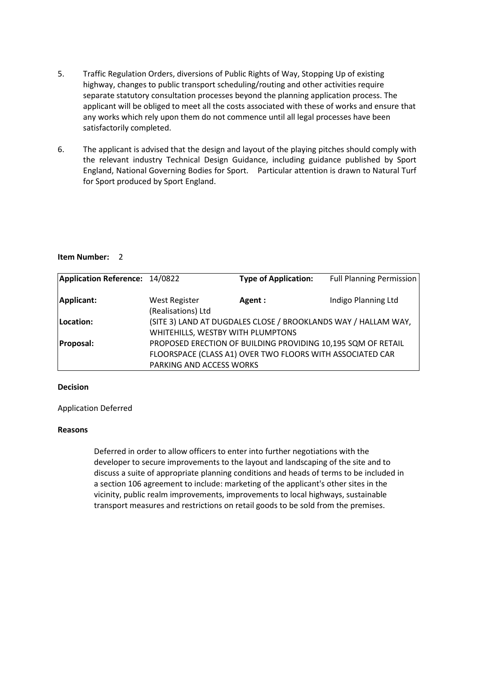- 5. Traffic Regulation Orders, diversions of Public Rights of Way, Stopping Up of existing highway, changes to public transport scheduling/routing and other activities require separate statutory consultation processes beyond the planning application process. The applicant will be obliged to meet all the costs associated with these of works and ensure that any works which rely upon them do not commence until all legal processes have been satisfactorily completed.
- 6. The applicant is advised that the design and layout of the playing pitches should comply with the relevant industry Technical Design Guidance, including guidance published by Sport England, National Governing Bodies for Sport. Particular attention is drawn to Natural Turf for Sport produced by Sport England.

#### **Item Number:** 2

| Application Reference: 14/0822 |                                                                | <b>Type of Application:</b>                                  | <b>Full Planning Permission</b> |
|--------------------------------|----------------------------------------------------------------|--------------------------------------------------------------|---------------------------------|
|                                |                                                                |                                                              |                                 |
| Applicant:                     | <b>West Register</b>                                           | Agent :                                                      | Indigo Planning Ltd             |
|                                | (Realisations) Ltd                                             |                                                              |                                 |
| Location:                      | (SITE 3) LAND AT DUGDALES CLOSE / BROOKLANDS WAY / HALLAM WAY, |                                                              |                                 |
|                                | WHITEHILLS, WESTBY WITH PLUMPTONS                              |                                                              |                                 |
| <b>Proposal:</b>               |                                                                | PROPOSED ERECTION OF BUILDING PROVIDING 10,195 SQM OF RETAIL |                                 |
|                                |                                                                | FLOORSPACE (CLASS A1) OVER TWO FLOORS WITH ASSOCIATED CAR    |                                 |
|                                | PARKING AND ACCESS WORKS                                       |                                                              |                                 |

#### **Decision**

#### Application Deferred

#### **Reasons**

Deferred in order to allow officers to enter into further negotiations with the developer to secure improvements to the layout and landscaping of the site and to discuss a suite of appropriate planning conditions and heads of terms to be included in a section 106 agreement to include: marketing of the applicant's other sites in the vicinity, public realm improvements, improvements to local highways, sustainable transport measures and restrictions on retail goods to be sold from the premises.